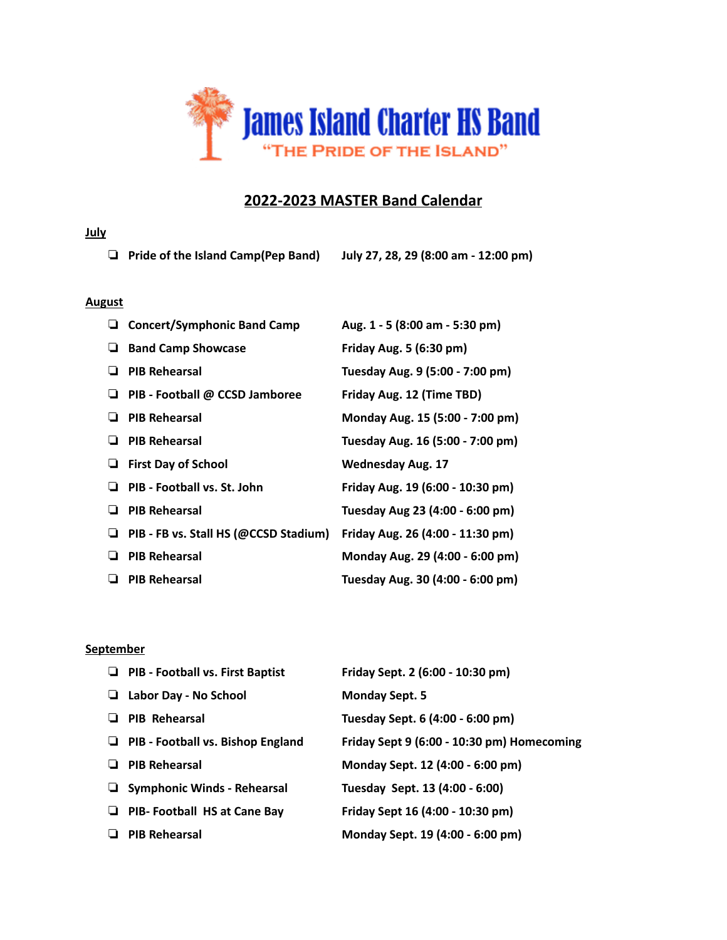

# **2022-2023 MASTER Band Calendar**

#### **July**

❏ **Pride of the Island Camp(Pep Band) July 27, 28, 29 (8:00 am - 12:00 pm)**

#### **August**

| u. | <b>Concert/Symphonic Band Camp</b>    | Aug. 1 - 5 (8:00 am - 5:30 pm)   |
|----|---------------------------------------|----------------------------------|
| ⊔  | <b>Band Camp Showcase</b>             | Friday Aug. 5 (6:30 pm)          |
|    | <b>PIB Rehearsal</b>                  | Tuesday Aug. 9 (5:00 - 7:00 pm)  |
| ⊔  | PIB - Football @ CCSD Jamboree        | Friday Aug. 12 (Time TBD)        |
|    | <b>PIB Rehearsal</b>                  | Monday Aug. 15 (5:00 - 7:00 pm)  |
|    | <b>PIB Rehearsal</b>                  | Tuesday Aug. 16 (5:00 - 7:00 pm) |
|    | <b>First Day of School</b>            | <b>Wednesday Aug. 17</b>         |
|    | PIB - Football vs. St. John           | Friday Aug. 19 (6:00 - 10:30 pm) |
| ப  | <b>PIB Rehearsal</b>                  | Tuesday Aug 23 (4:00 - 6:00 pm)  |
| ⊔  | PIB - FB vs. Stall HS (@CCSD Stadium) | Friday Aug. 26 (4:00 - 11:30 pm) |
|    | <b>PIB Rehearsal</b>                  | Monday Aug. 29 (4:00 - 6:00 pm)  |
| ⊔  | <b>PIB Rehearsal</b>                  | Tuesday Aug. 30 (4:00 - 6:00 pm) |

#### **September**

|   | $\Box$ PIB - Football vs. First Baptist | Friday Sept. 2 (6:00 - 10:30 pm)           |
|---|-----------------------------------------|--------------------------------------------|
|   | Labor Day - No School                   | <b>Monday Sept. 5</b>                      |
|   | <b>PIB Rehearsal</b>                    | Tuesday Sept. 6 (4:00 - 6:00 pm)           |
| ⊔ | PIB - Football vs. Bishop England       | Friday Sept 9 (6:00 - 10:30 pm) Homecoming |
|   | <b>PIB Rehearsal</b>                    | Monday Sept. 12 (4:00 - 6:00 pm)           |
|   | $\Box$ Symphonic Winds - Rehearsal      | Tuesday Sept. 13 (4:00 - 6:00)             |
| u | <b>PIB- Football HS at Cane Bay</b>     | Friday Sept 16 (4:00 - 10:30 pm)           |
|   | <b>PIB Rehearsal</b>                    | Monday Sept. 19 (4:00 - 6:00 pm)           |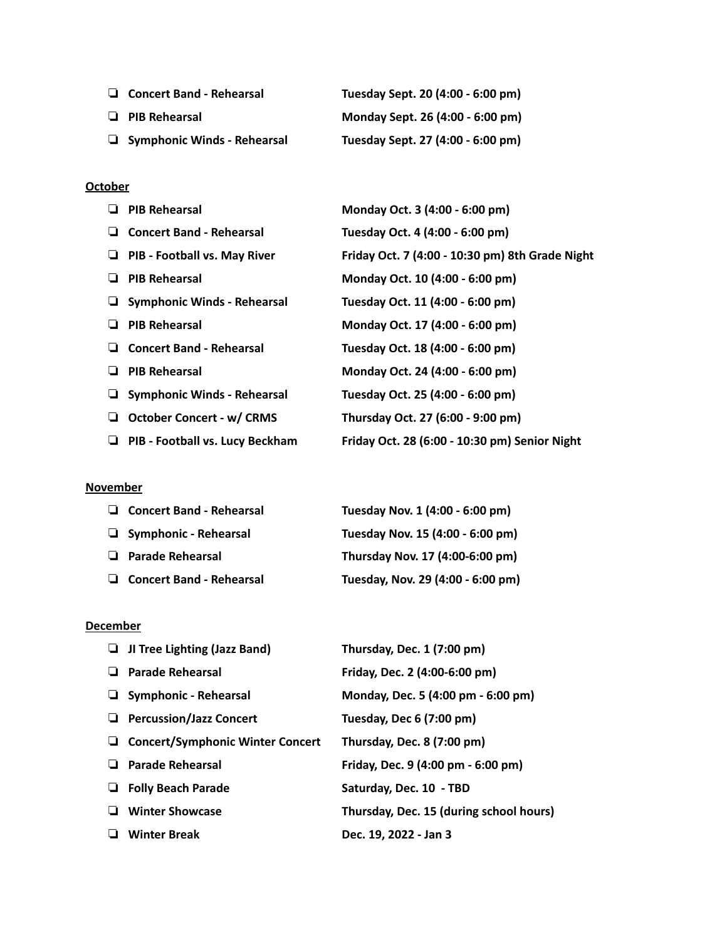| $\Box$ Concert Band - Rehearsal    | Tuesday Sept. 20 (4:00 - 6:00 pm) |
|------------------------------------|-----------------------------------|
| $\Box$ PIB Rehearsal               | Monday Sept. 26 (4:00 - 6:00 pm)  |
| $\Box$ Symphonic Winds - Rehearsal | Tuesday Sept. 27 (4:00 - 6:00 pm) |

#### **October**

| <b>PIB Rehearsal</b>                    | Monday Oct. 3 (4:00 - 6:00 pm)                  |
|-----------------------------------------|-------------------------------------------------|
| <b>Concert Band - Rehearsal</b>         | Tuesday Oct. 4 (4:00 - 6:00 pm)                 |
| PIB - Football vs. May River            | Friday Oct. 7 (4:00 - 10:30 pm) 8th Grade Night |
| <b>PIB Rehearsal</b>                    | Monday Oct. 10 (4:00 - 6:00 pm)                 |
| $\Box$ Symphonic Winds - Rehearsal      | Tuesday Oct. 11 (4:00 - 6:00 pm)                |
| <b>PIB Rehearsal</b><br>⊔               | Monday Oct. 17 (4:00 - 6:00 pm)                 |
| <b>Concert Band - Rehearsal</b><br>ப    | Tuesday Oct. 18 (4:00 - 6:00 pm)                |
| <b>PIB Rehearsal</b>                    | Monday Oct. 24 (4:00 - 6:00 pm)                 |
| <b>Symphonic Winds - Rehearsal</b><br>⊔ | Tuesday Oct. 25 (4:00 - 6:00 pm)                |
| <b>October Concert - w/ CRMS</b><br>ш   | Thursday Oct. 27 (6:00 - 9:00 pm)               |
| PIB - Football vs. Lucy Beckham         | Friday Oct. 28 (6:00 - 10:30 pm) Senior Night   |
|                                         |                                                 |

#### **November**

| $\Box$ Concert Band - Rehearsal | Tuesday Nov. 1 (4:00 - 6:00 pm)   |
|---------------------------------|-----------------------------------|
| $\Box$ Symphonic - Rehearsal    | Tuesday Nov. 15 (4:00 - 6:00 pm)  |
| <b>Parade Rehearsal</b><br>⊔    | Thursday Nov. 17 (4:00-6:00 pm)   |
| $\Box$ Concert Band - Rehearsal | Tuesday, Nov. 29 (4:00 - 6:00 pm) |

#### **December**

| JI Tree Lighting (Jazz Band)            | Thursday, Dec. 1 (7:00 pm)              |
|-----------------------------------------|-----------------------------------------|
| <b>Parade Rehearsal</b>                 | Friday, Dec. 2 (4:00-6:00 pm)           |
| $\Box$ Symphonic - Rehearsal            | Monday, Dec. 5 (4:00 pm - 6:00 pm)      |
| <b>Percussion/Jazz Concert</b>          | Tuesday, Dec 6 (7:00 pm)                |
| <b>Concert/Symphonic Winter Concert</b> | Thursday, Dec. 8 (7:00 pm)              |
| <b>Parade Rehearsal</b>                 | Friday, Dec. 9 (4:00 pm - 6:00 pm)      |
| <b>Folly Beach Parade</b>               | Saturday, Dec. 10 - TBD                 |
| <b>Winter Showcase</b>                  | Thursday, Dec. 15 (during school hours) |
| <b>Winter Break</b>                     | Dec. 19, 2022 - Jan 3                   |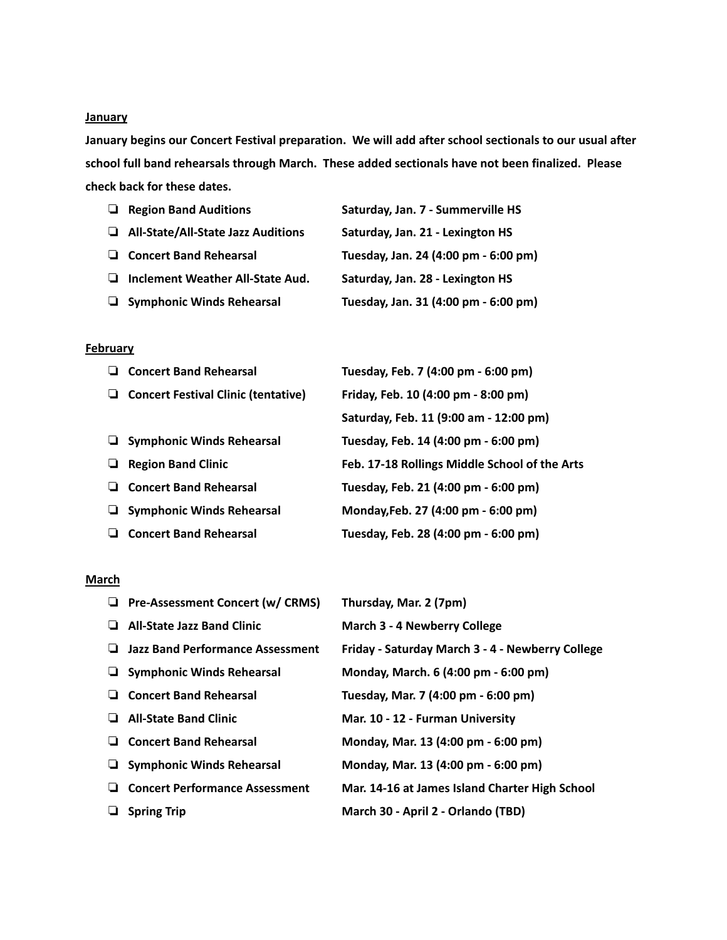#### **January**

**January begins our Concert Festival preparation. We will add after school sectionals to our usual after school full band rehearsals through March. These added sectionals have not been finalized. Please check back for these dates.**

| $\Box$ Region Band Auditions       | Saturday, Jan. 7 - Summerville HS    |
|------------------------------------|--------------------------------------|
| All-State/All-State Jazz Auditions | Saturday, Jan. 21 - Lexington HS     |
| $\Box$ Concert Band Rehearsal      | Tuesday, Jan. 24 (4:00 pm - 6:00 pm) |
| Inclement Weather All-State Aud.   | Saturday, Jan. 28 - Lexington HS     |
| Symphonic Winds Rehearsal          | Tuesday, Jan. 31 (4:00 pm - 6:00 pm) |

#### **February**

|   | <b>Concert Band Rehearsal</b>              | Tuesday, Feb. 7 (4:00 pm - 6:00 pm)           |
|---|--------------------------------------------|-----------------------------------------------|
| ⊔ | <b>Concert Festival Clinic (tentative)</b> | Friday, Feb. 10 (4:00 pm - 8:00 pm)           |
|   |                                            | Saturday, Feb. 11 (9:00 am - 12:00 pm)        |
|   | $\Box$ Symphonic Winds Rehearsal           | Tuesday, Feb. 14 (4:00 pm - 6:00 pm)          |
|   | <b>Region Band Clinic</b>                  | Feb. 17-18 Rollings Middle School of the Arts |
|   | <b>Concert Band Rehearsal</b>              | Tuesday, Feb. 21 (4:00 pm - 6:00 pm)          |
| ⊔ | <b>Symphonic Winds Rehearsal</b>           | Monday, Feb. 27 (4:00 pm - 6:00 pm)           |
|   | <b>Concert Band Rehearsal</b>              | Tuesday, Feb. 28 (4:00 pm - 6:00 pm)          |
|   |                                            |                                               |

### **March**

|   | <b>Pre-Assessment Concert (w/ CRMS)</b> | Thursday, Mar. 2 (7pm)                           |
|---|-----------------------------------------|--------------------------------------------------|
|   | <b>All-State Jazz Band Clinic</b>       | <b>March 3 - 4 Newberry College</b>              |
|   | <b>Jazz Band Performance Assessment</b> | Friday - Saturday March 3 - 4 - Newberry College |
|   | $\Box$ Symphonic Winds Rehearsal        | Monday, March. 6 (4:00 pm - 6:00 pm)             |
|   | <b>Concert Band Rehearsal</b>           | Tuesday, Mar. 7 (4:00 pm - 6:00 pm)              |
| ⊔ | <b>All-State Band Clinic</b>            | Mar. 10 - 12 - Furman University                 |
| ⊔ | <b>Concert Band Rehearsal</b>           | Monday, Mar. 13 (4:00 pm - 6:00 pm)              |
|   | <b>Symphonic Winds Rehearsal</b>        | Monday, Mar. 13 (4:00 pm - 6:00 pm)              |
| ⊔ | <b>Concert Performance Assessment</b>   | Mar. 14-16 at James Island Charter High School   |
|   | <b>Spring Trip</b>                      | March 30 - April 2 - Orlando (TBD)               |